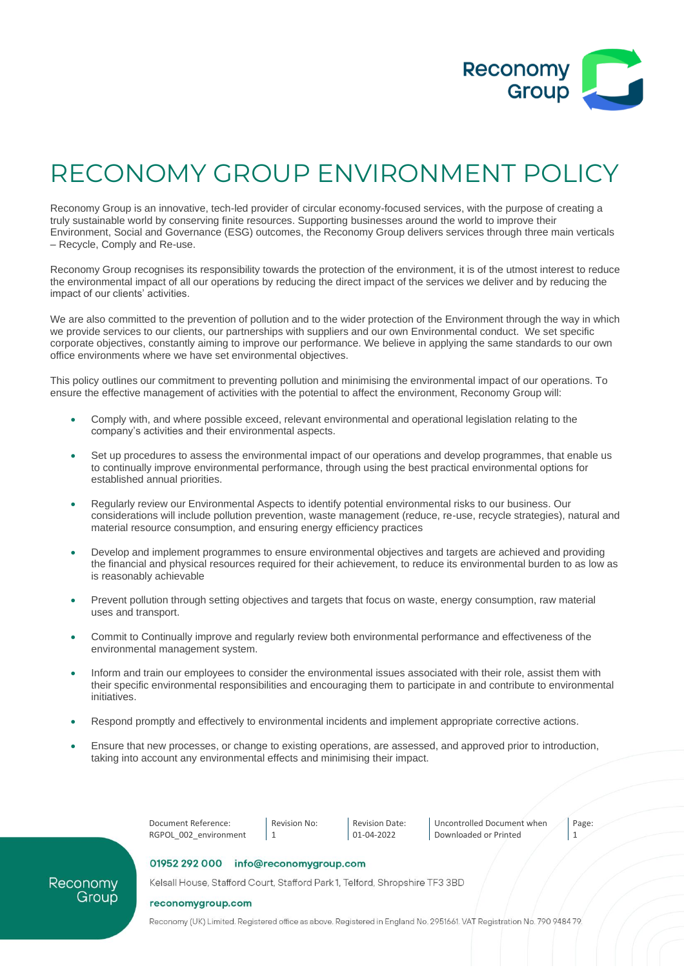

## RECONOMY GROUP ENVIRONMENT POLICY

Reconomy Group is an innovative, tech-led provider of circular economy-focused services, with the purpose of creating a truly sustainable world by conserving finite resources. Supporting businesses around the world to improve their Environment, Social and Governance (ESG) outcomes, the Reconomy Group delivers services through three main verticals – Recycle, Comply and Re-use.

Reconomy Group recognises its responsibility towards the protection of the environment, it is of the utmost interest to reduce the environmental impact of all our operations by reducing the direct impact of the services we deliver and by reducing the impact of our clients' activities.

We are also committed to the prevention of pollution and to the wider protection of the Environment through the way in which we provide services to our clients, our partnerships with suppliers and our own Environmental conduct. We set specific corporate objectives, constantly aiming to improve our performance. We believe in applying the same standards to our own office environments where we have set environmental objectives.

This policy outlines our commitment to preventing pollution and minimising the environmental impact of our operations. To ensure the effective management of activities with the potential to affect the environment, Reconomy Group will:

- Comply with, and where possible exceed, relevant environmental and operational legislation relating to the company's activities and their environmental aspects.
- Set up procedures to assess the environmental impact of our operations and develop programmes, that enable us to continually improve environmental performance, through using the best practical environmental options for established annual priorities.
- Regularly review our Environmental Aspects to identify potential environmental risks to our business. Our considerations will include pollution prevention, waste management (reduce, re-use, recycle strategies), natural and material resource consumption, and ensuring energy efficiency practices
- Develop and implement programmes to ensure environmental objectives and targets are achieved and providing the financial and physical resources required for their achievement, to reduce its environmental burden to as low as is reasonably achievable
- Prevent pollution through setting objectives and targets that focus on waste, energy consumption, raw material uses and transport.
- Commit to Continually improve and regularly review both environmental performance and effectiveness of the environmental management system.
- Inform and train our employees to consider the environmental issues associated with their role, assist them with their specific environmental responsibilities and encouraging them to participate in and contribute to environmental initiatives.
- Respond promptly and effectively to environmental incidents and implement appropriate corrective actions.
- Ensure that new processes, or change to existing operations, are assessed, and approved prior to introduction, taking into account any environmental effects and minimising their impact.



Uncontrolled Document when Downloaded or Printed

Page: 1

## 01952 292 000 info@reconomygroup.com

Kelsall House, Stafford Court, Stafford Park 1, Telford, Shropshire TF3 3BD

## reconomygroup.com

Reconomy Group

Reconomy (UK) Limited. Registered office as above. Registered in England No. 2951661. VAT Registration No. 790 9484 79.